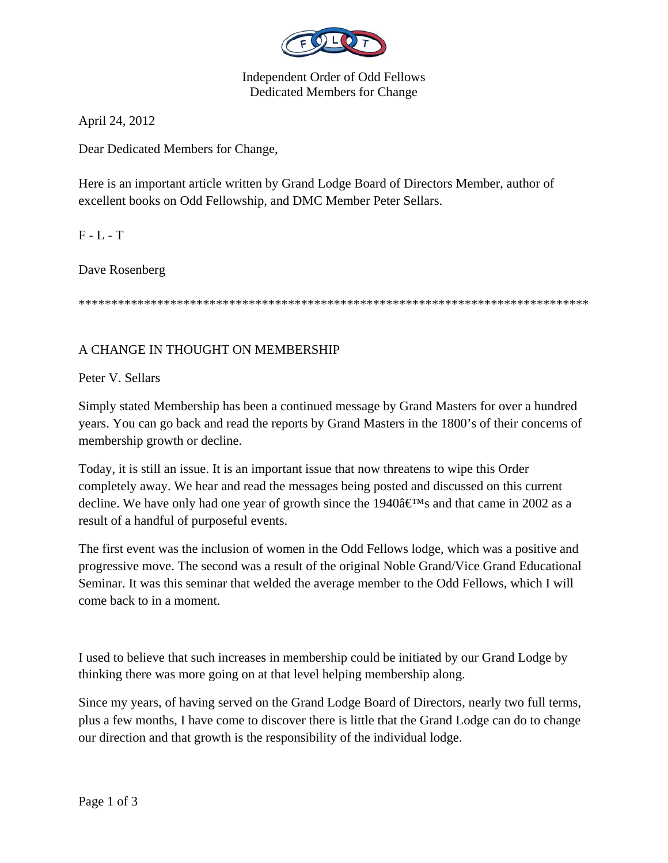

Independent Order of Odd Fellows Dedicated Members for Change

April 24, 2012

Dear Dedicated Members for Change,

Here is an important article written by Grand Lodge Board of Directors Member, author of excellent books on Odd Fellowship, and DMC Member Peter Sellars.

 $F - L - T$ 

Dave Rosenberg

\*\*\*\*\*\*\*\*\*\*\*\*\*\*\*\*\*\*\*\*\*\*\*\*\*\*\*\*\*\*\*\*\*\*\*\*\*\*\*\*\*\*\*\*\*\*\*\*\*\*\*\*\*\*\*\*\*\*\*\*\*\*\*\*\*\*\*\*\*\*\*\*\*\*\*\*\*\*

## A CHANGE IN THOUGHT ON MEMBERSHIP

Peter V. Sellars

Simply stated Membership has been a continued message by Grand Masters for over a hundred years. You can go back and read the reports by Grand Masters in the 1800's of their concerns of membership growth or decline.

Today, it is still an issue. It is an important issue that now threatens to wipe this Order completely away. We hear and read the messages being posted and discussed on this current decline. We have only had one year of growth since the 1940 $\hat{a} \in M_s$  and that came in 2002 as a result of a handful of purposeful events.

The first event was the inclusion of women in the Odd Fellows lodge, which was a positive and progressive move. The second was a result of the original Noble Grand/Vice Grand Educational Seminar. It was this seminar that welded the average member to the Odd Fellows, which I will come back to in a moment.

I used to believe that such increases in membership could be initiated by our Grand Lodge by thinking there was more going on at that level helping membership along.

Since my years, of having served on the Grand Lodge Board of Directors, nearly two full terms, plus a few months, I have come to discover there is little that the Grand Lodge can do to change our direction and that growth is the responsibility of the individual lodge.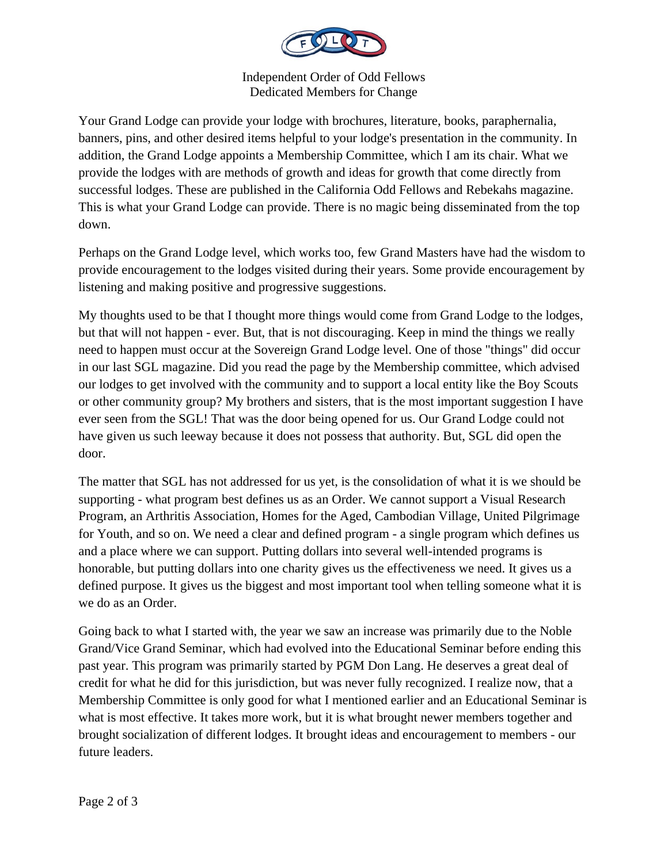

Independent Order of Odd Fellows Dedicated Members for Change

Your Grand Lodge can provide your lodge with brochures, literature, books, paraphernalia, banners, pins, and other desired items helpful to your lodge's presentation in the community. In addition, the Grand Lodge appoints a Membership Committee, which I am its chair. What we provide the lodges with are methods of growth and ideas for growth that come directly from successful lodges. These are published in the California Odd Fellows and Rebekahs magazine. This is what your Grand Lodge can provide. There is no magic being disseminated from the top down.

Perhaps on the Grand Lodge level, which works too, few Grand Masters have had the wisdom to provide encouragement to the lodges visited during their years. Some provide encouragement by listening and making positive and progressive suggestions.

My thoughts used to be that I thought more things would come from Grand Lodge to the lodges, but that will not happen - ever. But, that is not discouraging. Keep in mind the things we really need to happen must occur at the Sovereign Grand Lodge level. One of those "things" did occur in our last SGL magazine. Did you read the page by the Membership committee, which advised our lodges to get involved with the community and to support a local entity like the Boy Scouts or other community group? My brothers and sisters, that is the most important suggestion I have ever seen from the SGL! That was the door being opened for us. Our Grand Lodge could not have given us such leeway because it does not possess that authority. But, SGL did open the door.

The matter that SGL has not addressed for us yet, is the consolidation of what it is we should be supporting - what program best defines us as an Order. We cannot support a Visual Research Program, an Arthritis Association, Homes for the Aged, Cambodian Village, United Pilgrimage for Youth, and so on. We need a clear and defined program - a single program which defines us and a place where we can support. Putting dollars into several well-intended programs is honorable, but putting dollars into one charity gives us the effectiveness we need. It gives us a defined purpose. It gives us the biggest and most important tool when telling someone what it is we do as an Order.

Going back to what I started with, the year we saw an increase was primarily due to the Noble Grand/Vice Grand Seminar, which had evolved into the Educational Seminar before ending this past year. This program was primarily started by PGM Don Lang. He deserves a great deal of credit for what he did for this jurisdiction, but was never fully recognized. I realize now, that a Membership Committee is only good for what I mentioned earlier and an Educational Seminar is what is most effective. It takes more work, but it is what brought newer members together and brought socialization of different lodges. It brought ideas and encouragement to members - our future leaders.